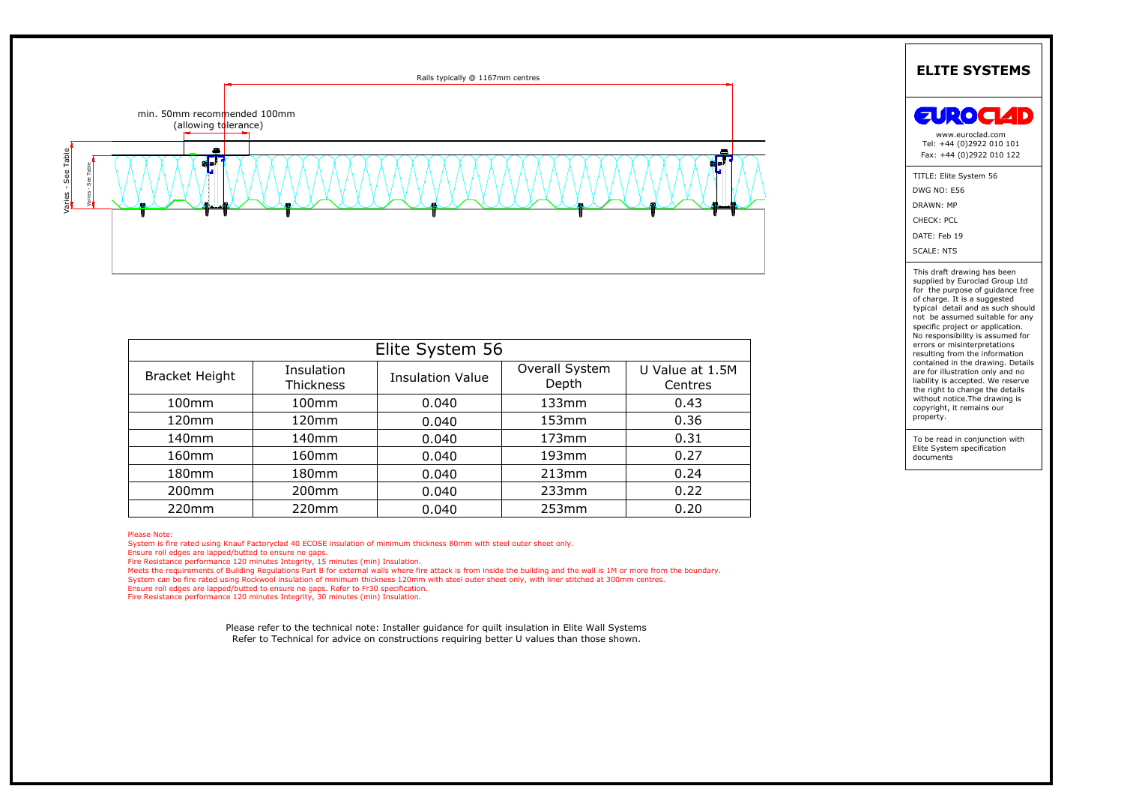

| Ш.<br>- U             |                         |                         |                         | U.<br>v                    |
|-----------------------|-------------------------|-------------------------|-------------------------|----------------------------|
|                       |                         |                         |                         |                            |
|                       |                         |                         |                         |                            |
|                       |                         |                         |                         |                            |
|                       |                         |                         |                         |                            |
|                       |                         |                         |                         |                            |
| Elite System 56       |                         |                         |                         |                            |
| <b>Bracket Height</b> | Insulation<br>Thickness | <b>Insulation Value</b> | Overall System<br>Depth | U Value at 1.5M<br>Centres |
| 100 <sub>mm</sub>     | 100 <sub>mm</sub>       | 0.040                   | 133mm                   | 0.43                       |
| 120mm                 | 120mm                   | 0.040                   | 153mm                   | 0.36                       |
| 140mm                 | 140 <sub>mm</sub>       | 0.040                   | 173mm                   | 0.31                       |
| 160mm                 | 160mm                   | 0.040                   | 193 <sub>mm</sub>       | 0.27                       |
| 180 <sub>mm</sub>     | 180 <sub>mm</sub>       | 0.040                   | 213mm                   | 0.24                       |
| 200 <sub>mm</sub>     | 200 <sub>mm</sub>       | 0.040                   | $233$ mm                | 0.22                       |
| 220mm                 | 220mm                   | 0.040                   | 253mm                   | 0.20                       |

Ensure roll edges are lapped/butted to ensure no gaps.<br>
Fire Resistance performance 120 minutes Integrity, 15 minutes (min) Insulation.<br>
Meets the requirements of Building Regulations Part B for external walls where fire a

| <b>EUROCIAD</b>                                                                                                                                                                                                                                                                                                                                                                                                                                                                                                                                                                  |
|----------------------------------------------------------------------------------------------------------------------------------------------------------------------------------------------------------------------------------------------------------------------------------------------------------------------------------------------------------------------------------------------------------------------------------------------------------------------------------------------------------------------------------------------------------------------------------|
| www.euroclad.com<br>Tel: +44 (0)2922 010 101<br>Fax: +44 (0)2922 010 122                                                                                                                                                                                                                                                                                                                                                                                                                                                                                                         |
| TITLE: Elite System 56<br><b>DWG NO: E56</b><br>DRAWN: MP<br>CHECK: PCL<br>DATE: Feb 19<br><b>SCALE: NTS</b>                                                                                                                                                                                                                                                                                                                                                                                                                                                                     |
| This draft drawing has been<br>supplied by Euroclad Group Ltd<br>for the purpose of quidance free<br>of charge. It is a suggested<br>typical detail and as such should<br>not be assumed suitable for any<br>specific project or application.<br>No responsibility is assumed for<br>errors or misinterpretations<br>resulting from the information<br>contained in the drawing. Details<br>are for illustration only and no<br>liability is accepted. We reserve<br>the right to change the details<br>without notice. The drawing is<br>copyright, it remains our<br>property. |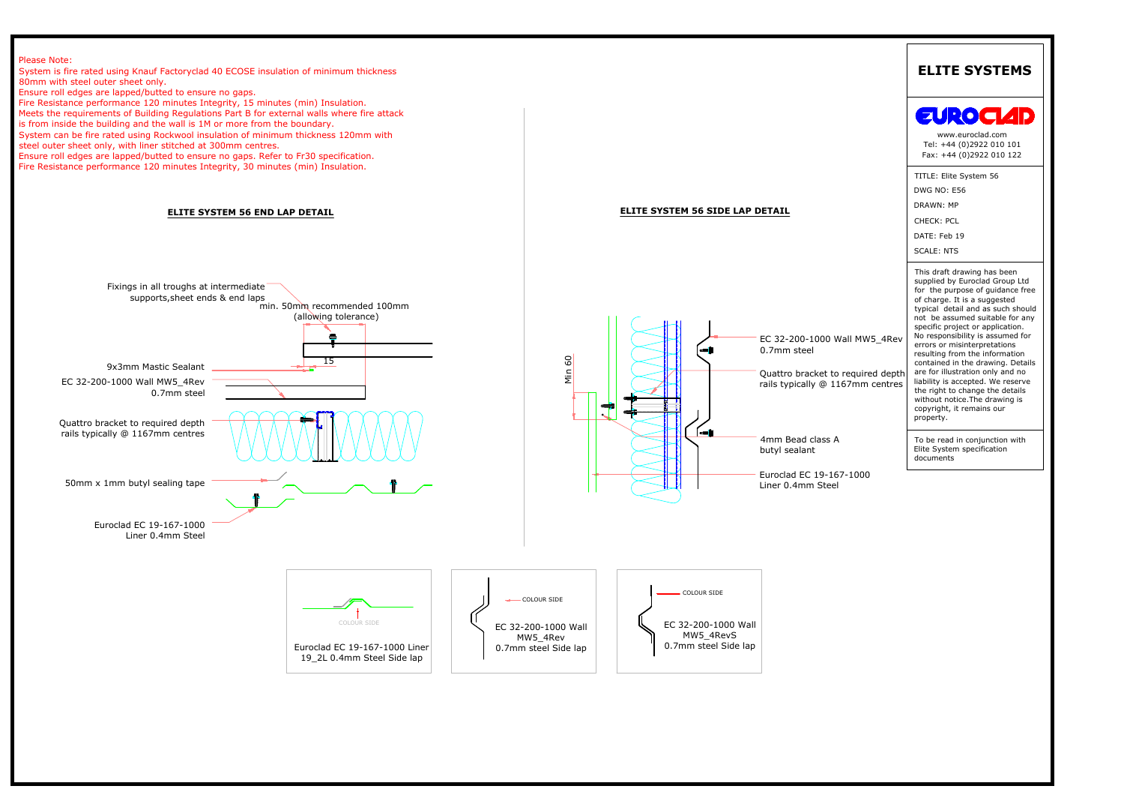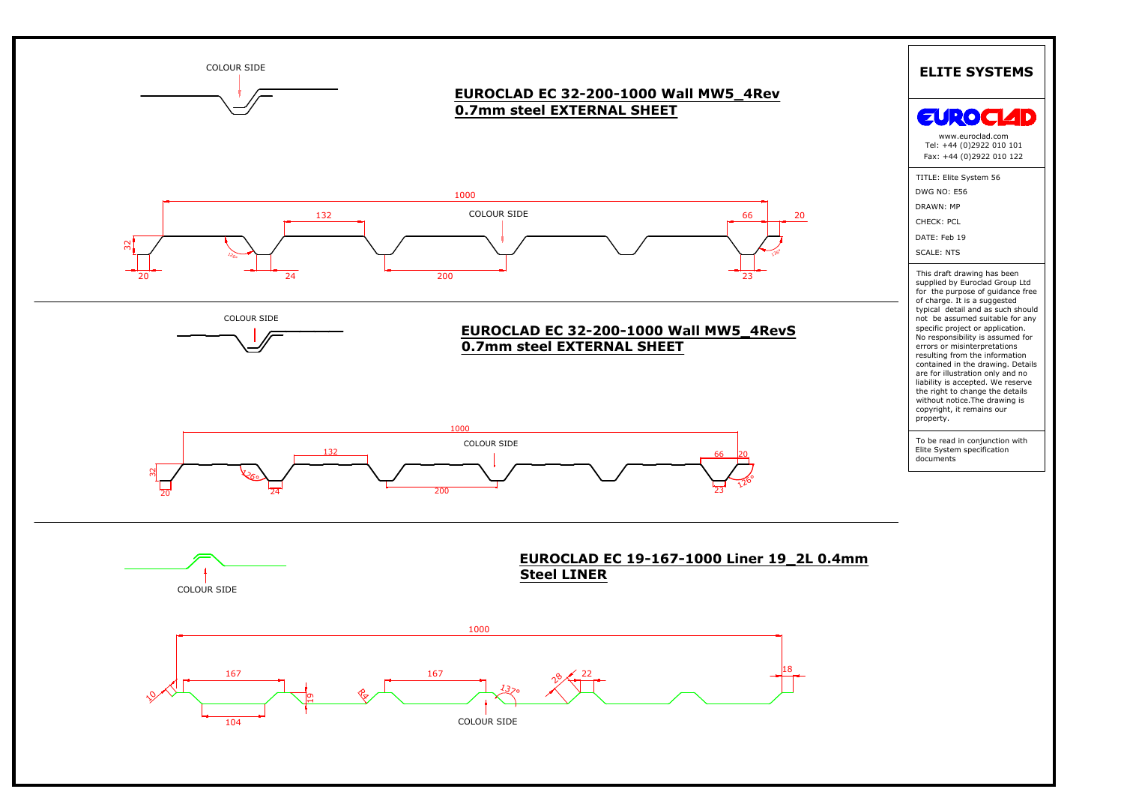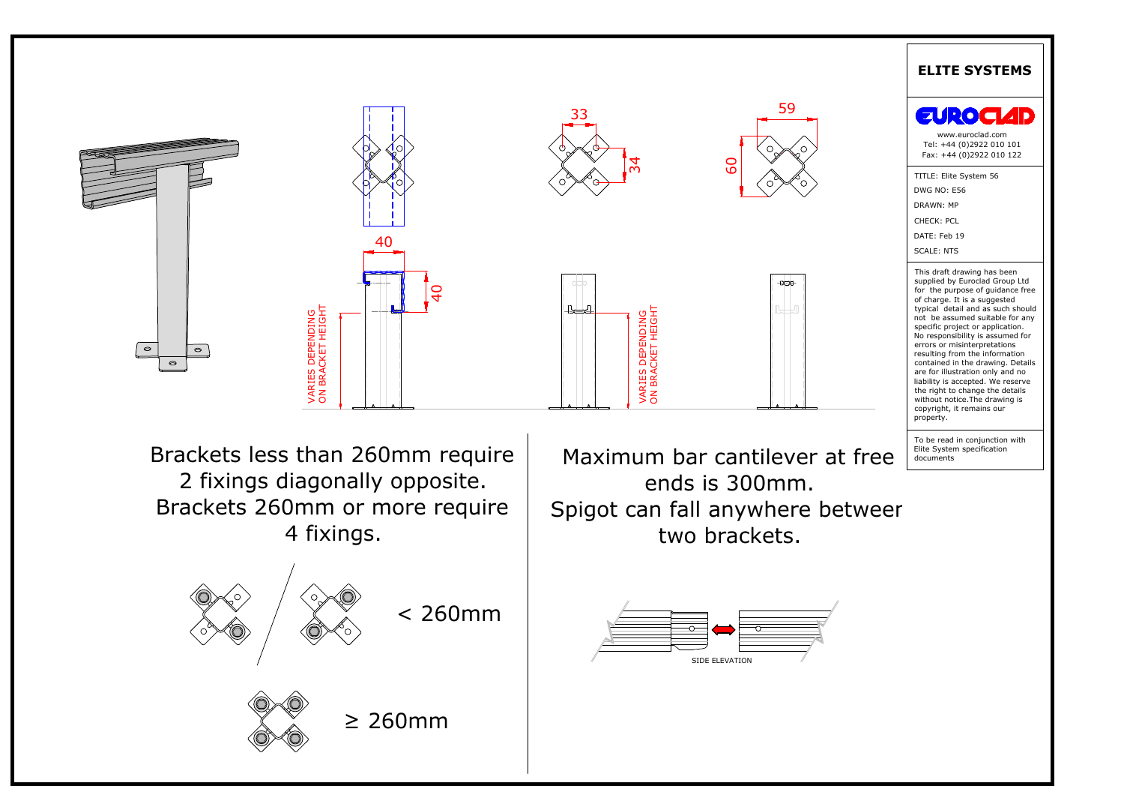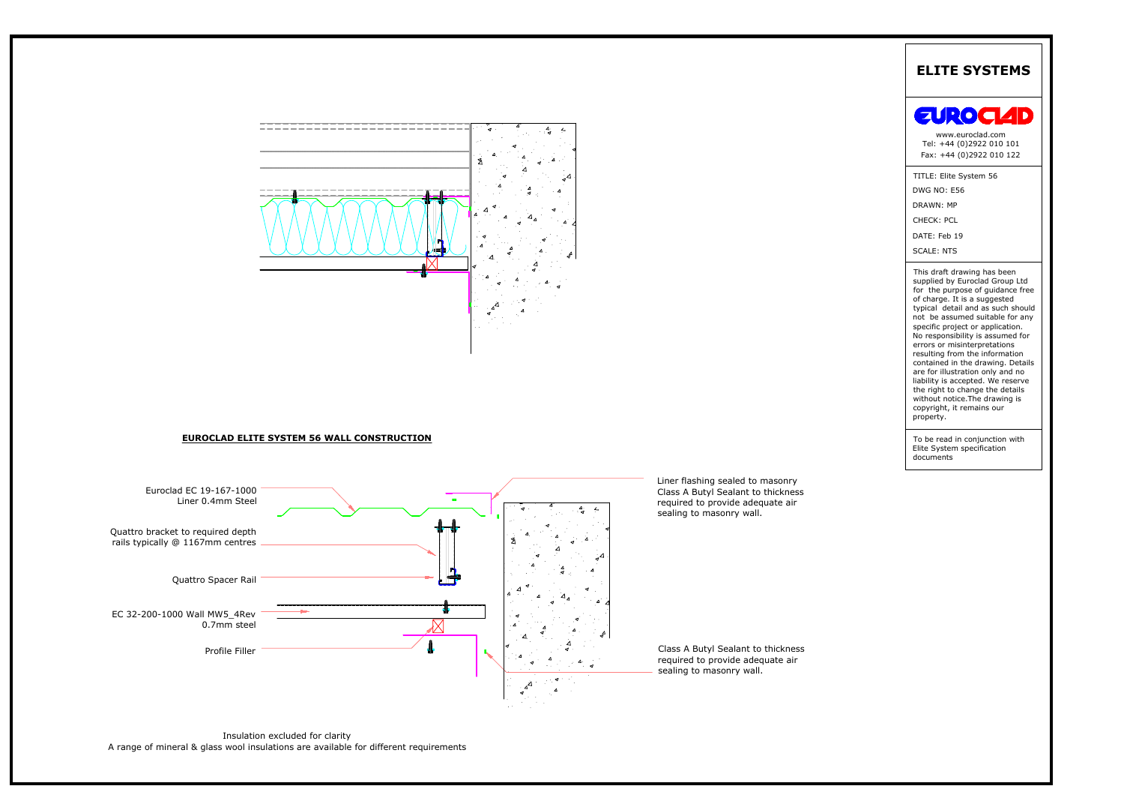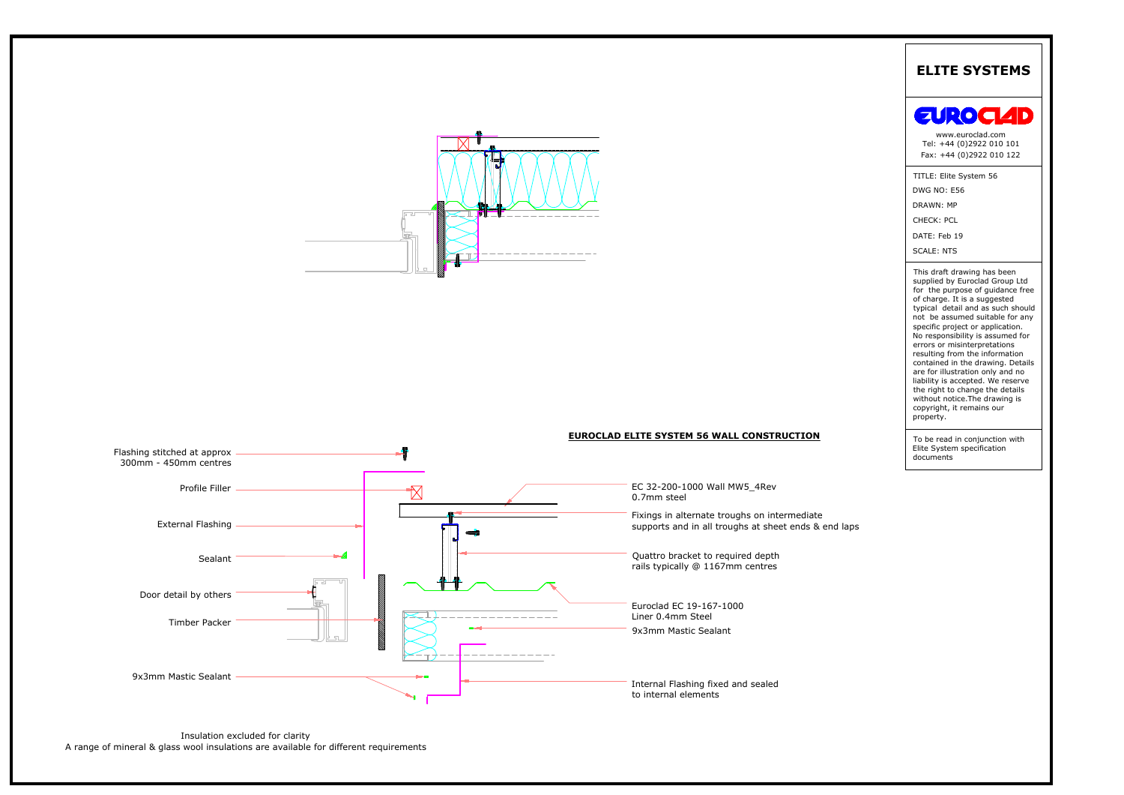

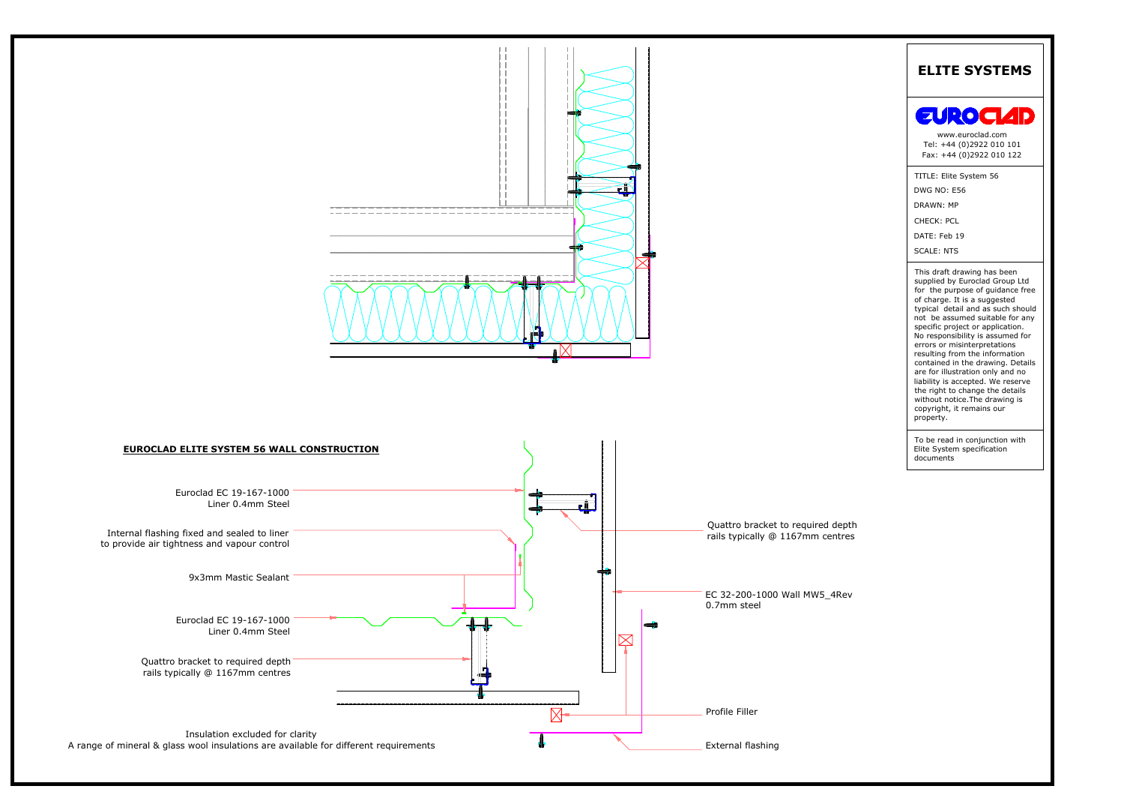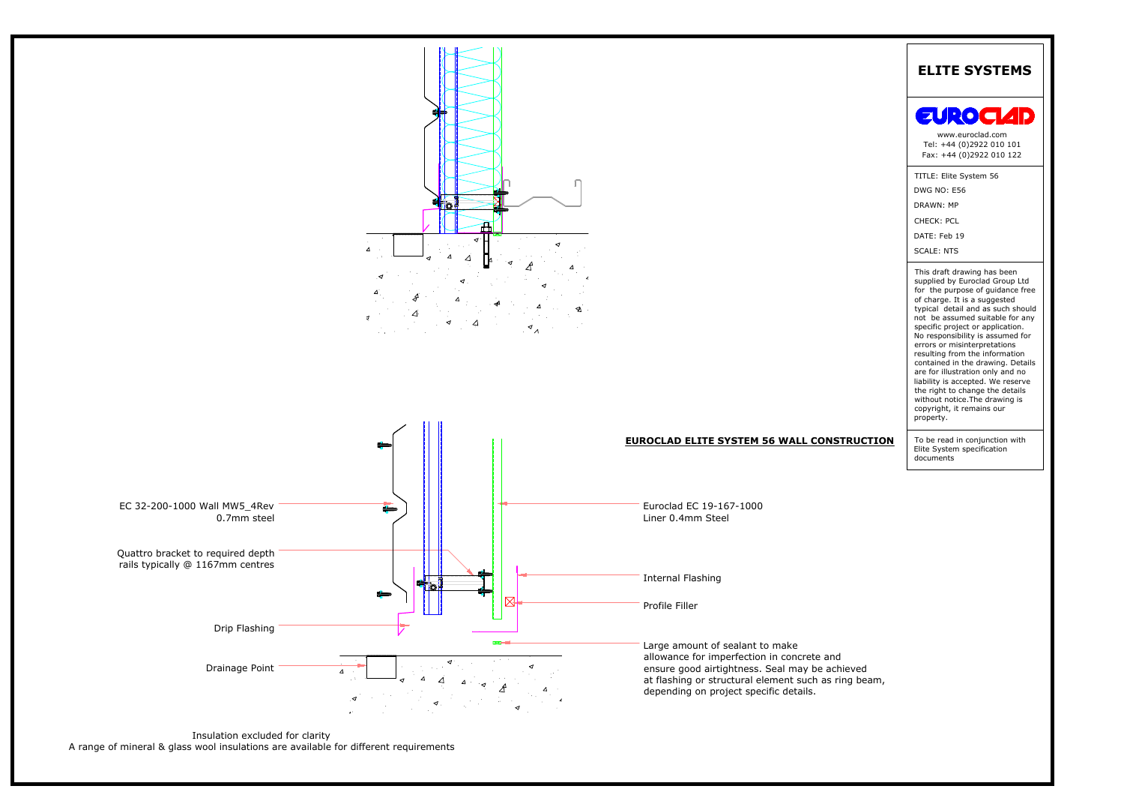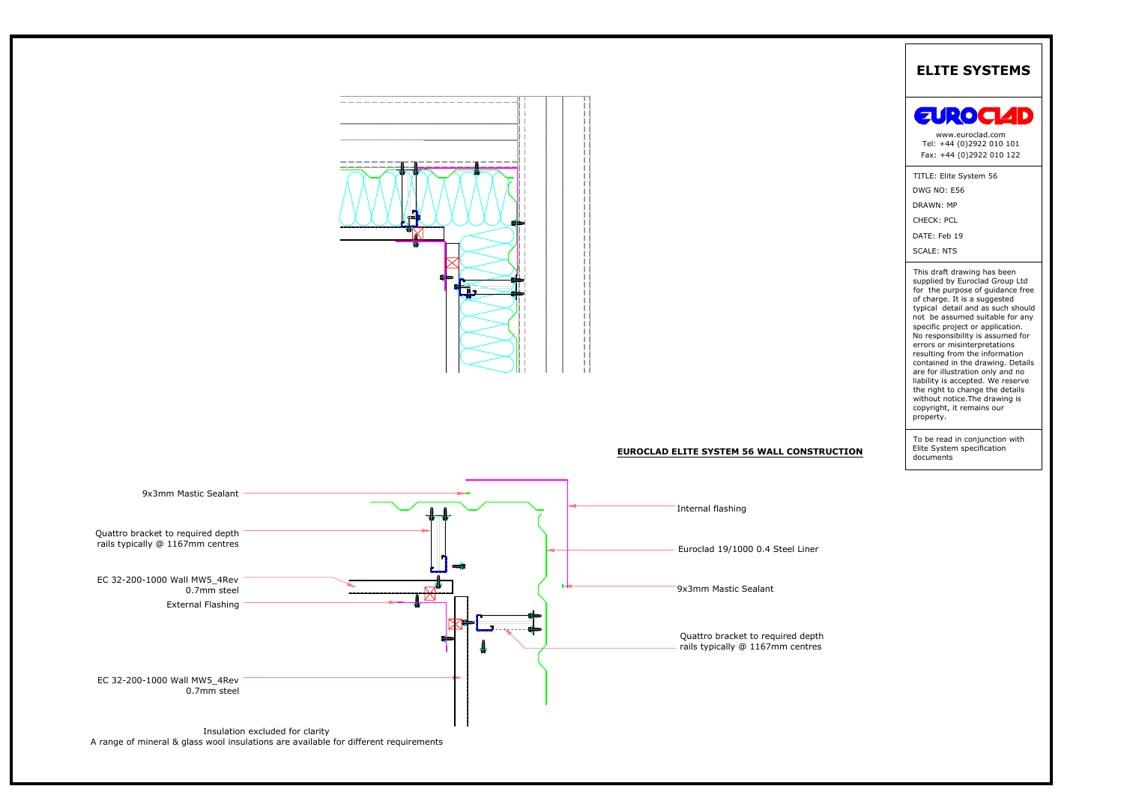

Insulation excluded for clarity<br>A range of mineral & glass wool insulations are available for different requirements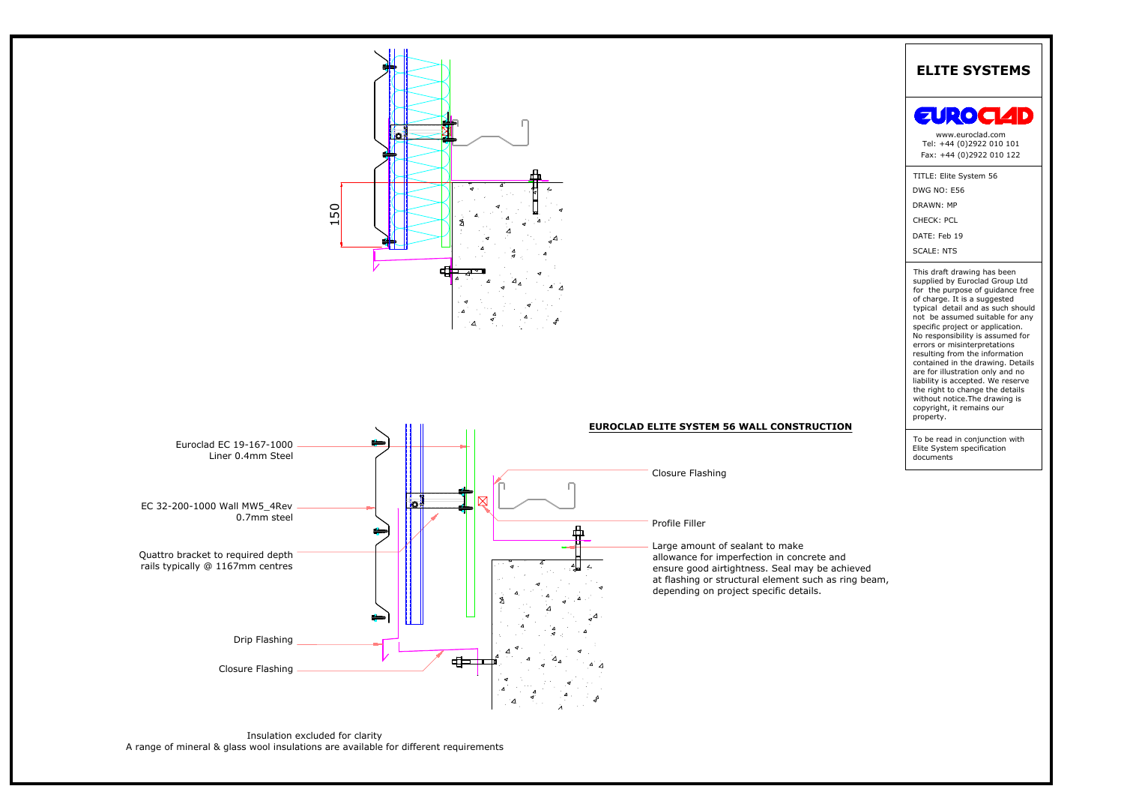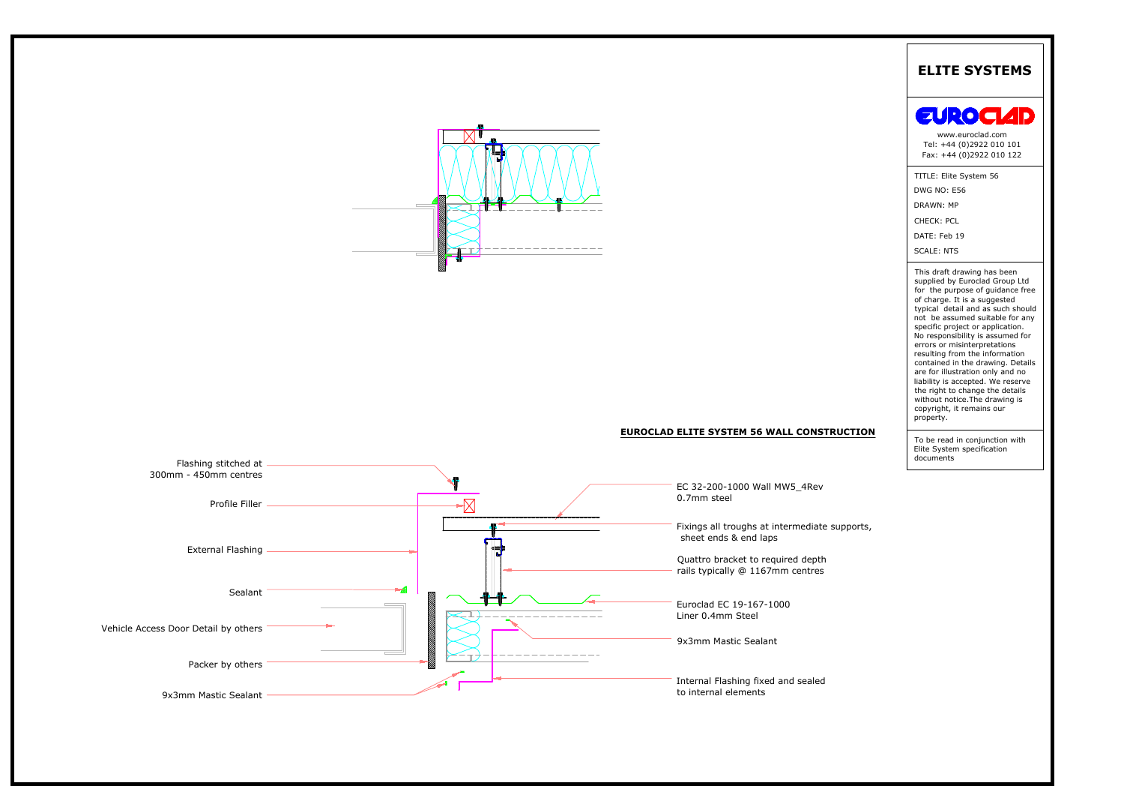



# EUROCLAD ELITE SYSTEM 56 WALL CONSTRUCTION

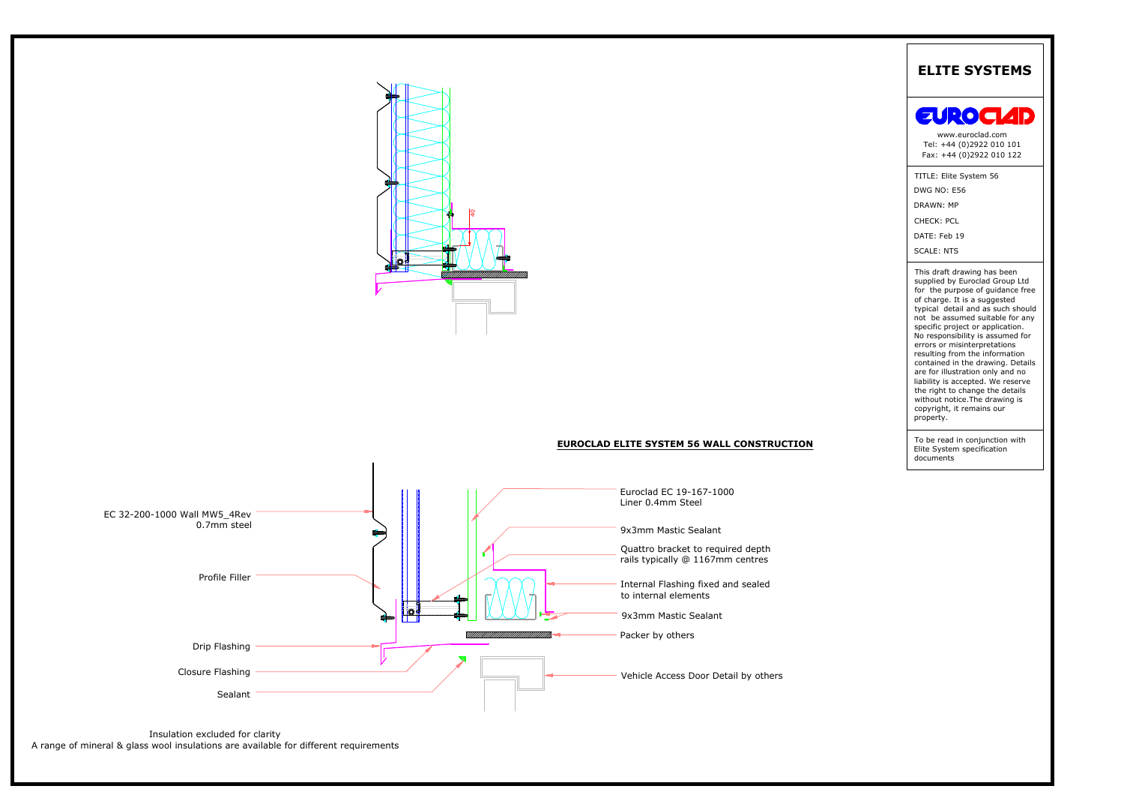

# **EUROCLAD ELITE SYSTEM 56 WALL CONSTRUCTION**



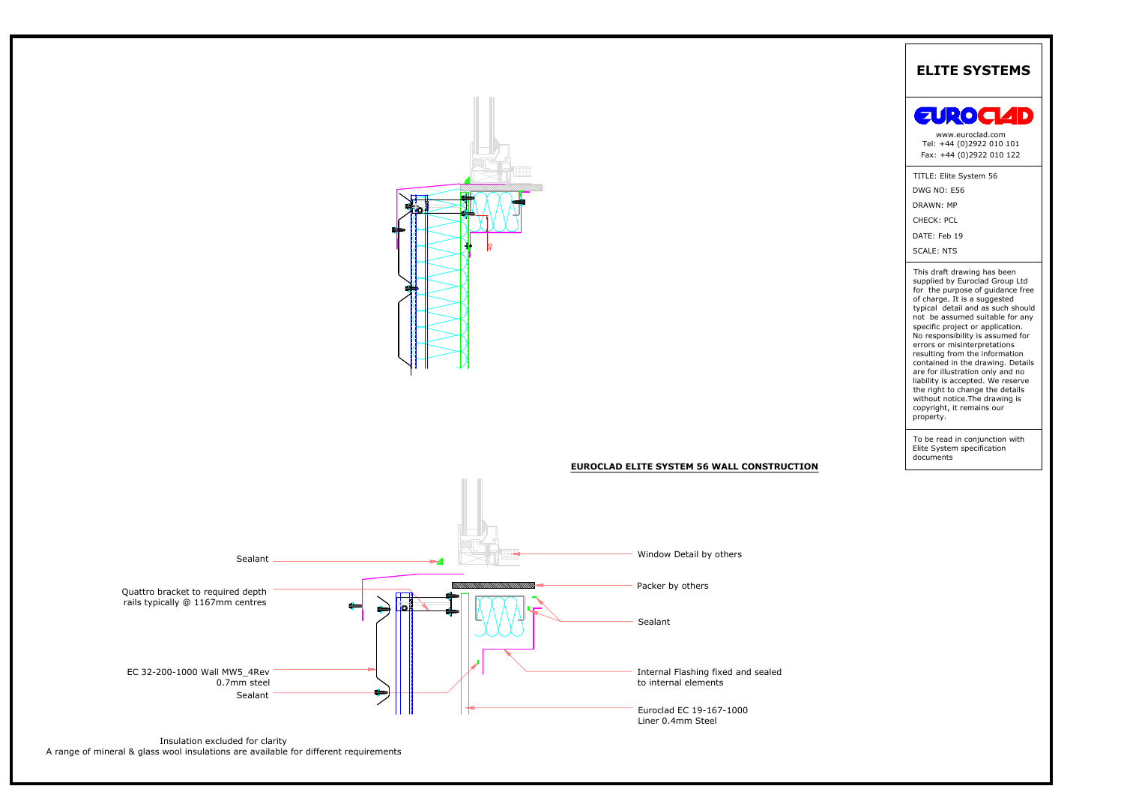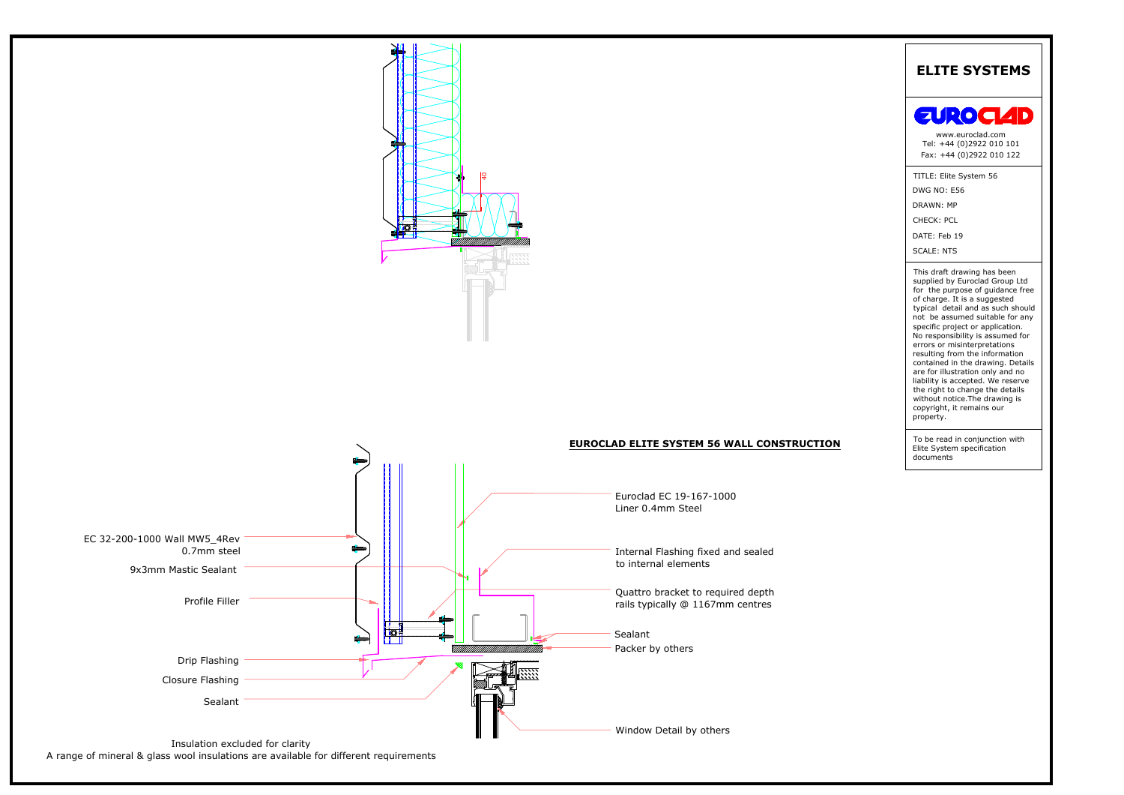

A range of mineral & glass wool insulations are available for different requirements